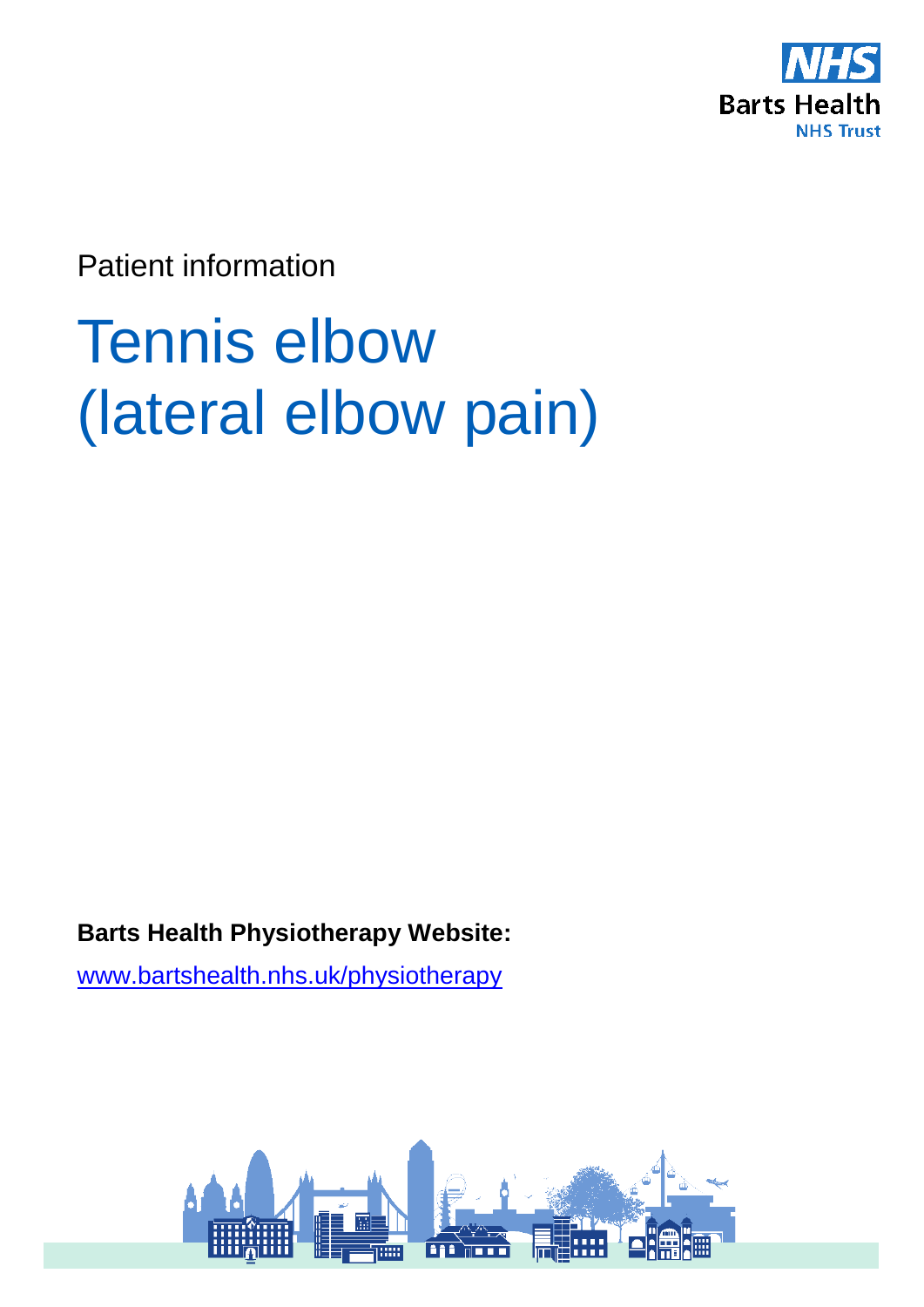

Patient information

# Tennis elbow (lateral elbow pain)

**Barts Health Physiotherapy Website:** 

[www.bartshealth.nhs.uk/physiotherapy](http://www.bartshealth.nhs.uk/physiotherapy)

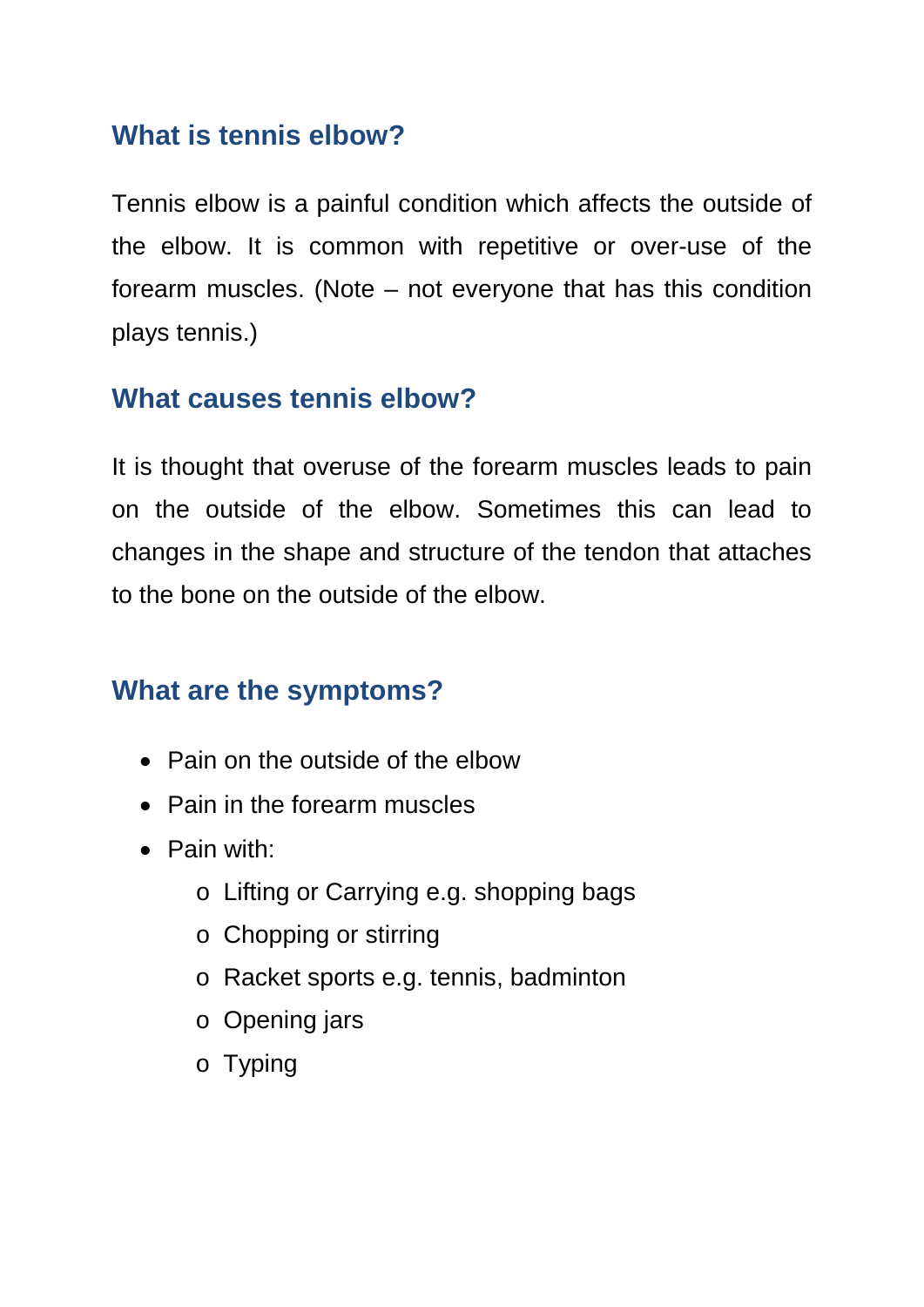# **What is tennis elbow?**

Tennis elbow is a painful condition which affects the outside of the elbow. It is common with repetitive or over-use of the forearm muscles. (Note – not everyone that has this condition plays tennis.)

# **What causes tennis elbow?**

It is thought that overuse of the forearm muscles leads to pain on the outside of the elbow. Sometimes this can lead to changes in the shape and structure of the tendon that attaches to the bone on the outside of the elbow.

# **What are the symptoms?**

- Pain on the outside of the elbow
- Pain in the forearm muscles
- Pain with:
	- o Lifting or Carrying e.g. shopping bags
	- o Chopping or stirring
	- o Racket sports e.g. tennis, badminton
	- o Opening jars
	- o Typing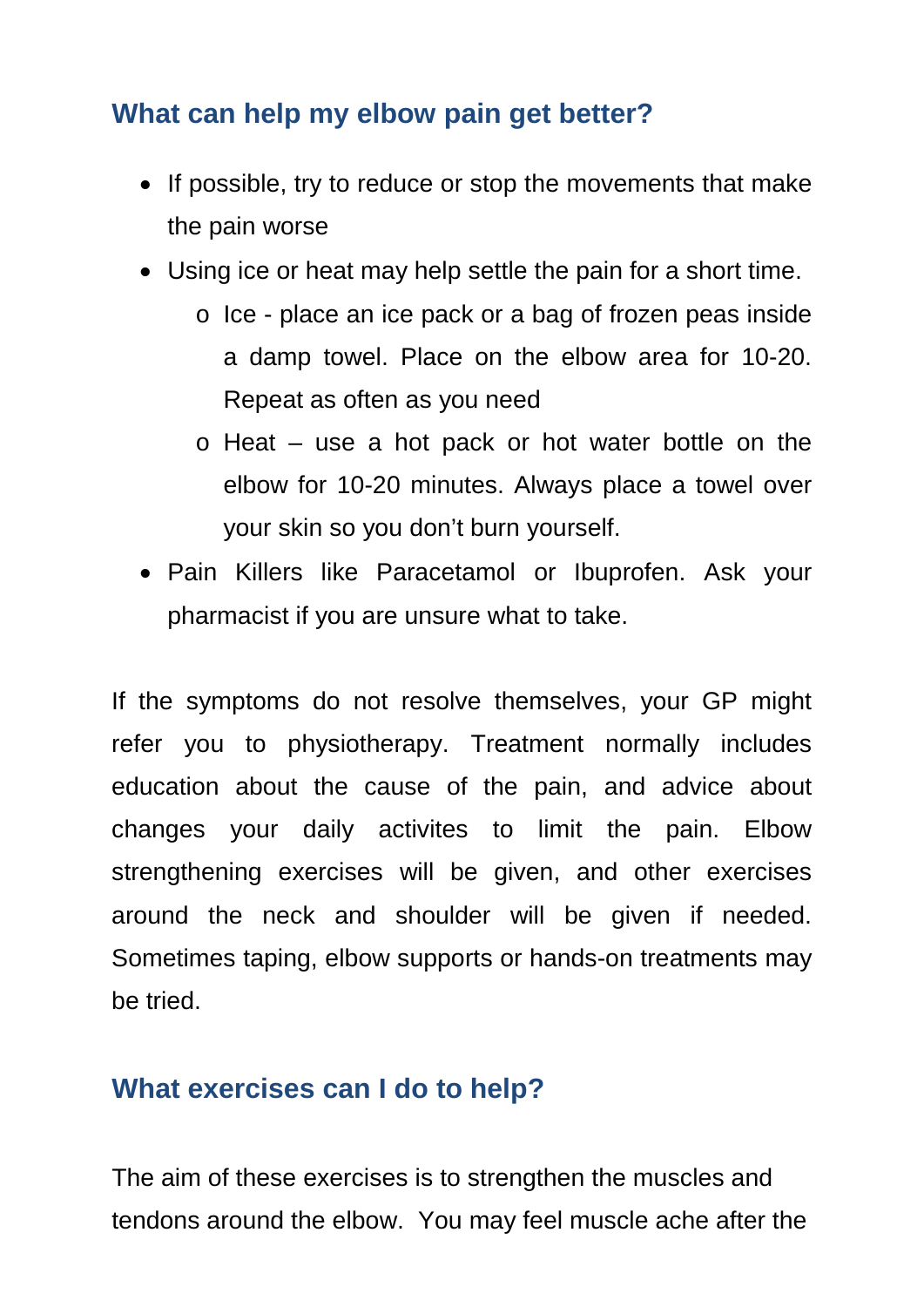# **What can help my elbow pain get better?**

- If possible, try to reduce or stop the movements that make the pain worse
- Using ice or heat may help settle the pain for a short time.
	- o Ice place an ice pack or a bag of frozen peas inside a damp towel. Place on the elbow area for 10-20. Repeat as often as you need
	- o Heat use a hot pack or hot water bottle on the elbow for 10-20 minutes. Always place a towel over your skin so you don't burn yourself.
- Pain Killers like Paracetamol or Ibuprofen. Ask your pharmacist if you are unsure what to take.

If the symptoms do not resolve themselves, your GP might refer you to physiotherapy. Treatment normally includes education about the cause of the pain, and advice about changes your daily activites to limit the pain. Elbow strengthening exercises will be given, and other exercises around the neck and shoulder will be given if needed. Sometimes taping, elbow supports or hands-on treatments may be tried.

# **What exercises can I do to help?**

The aim of these exercises is to strengthen the muscles and tendons around the elbow. You may feel muscle ache after the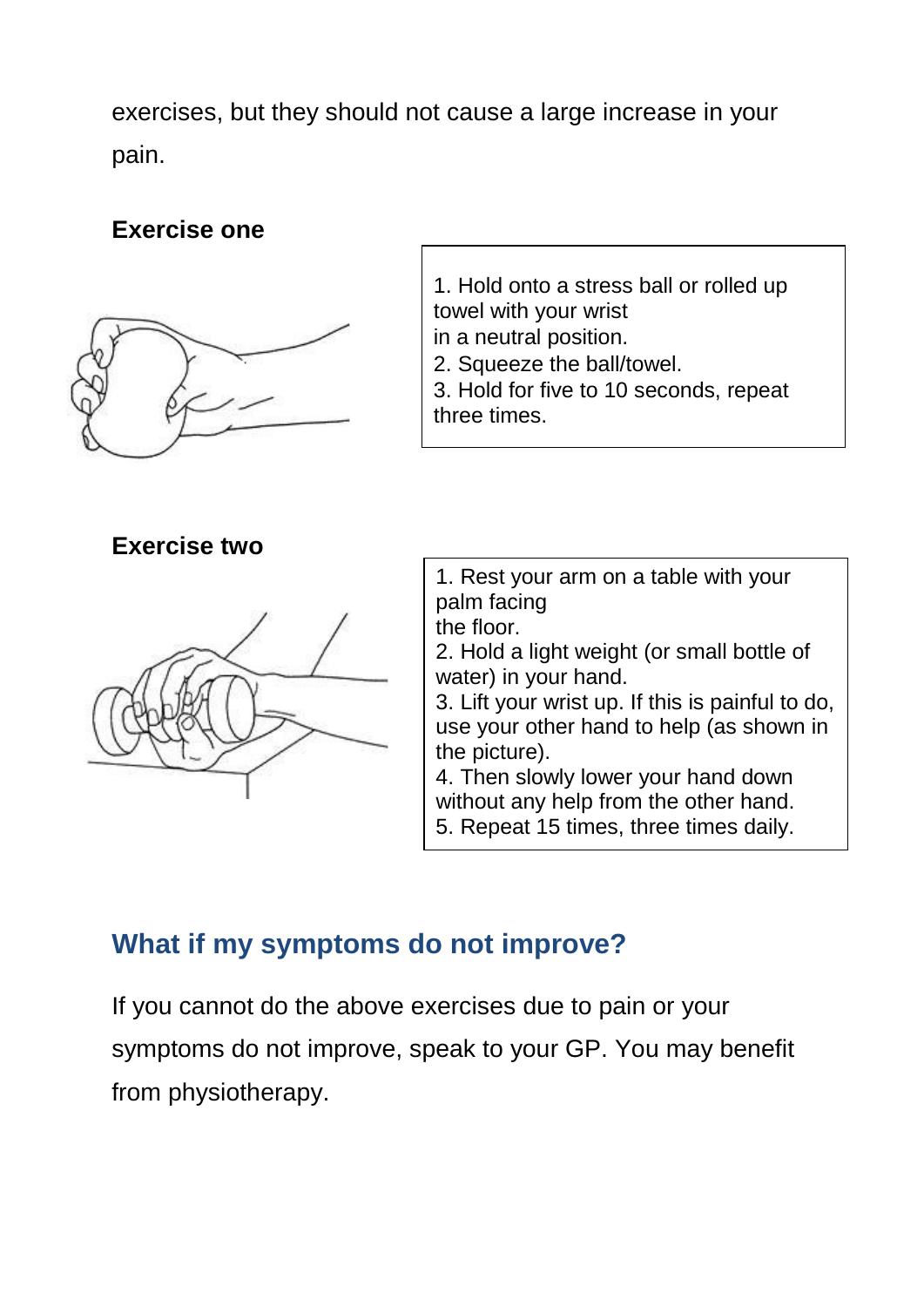exercises, but they should not cause a large increase in your pain.

## **Exercise one**



**Exercise two**



1. Hold onto a stress ball or rolled up towel with your wrist in a neutral position.

2. Squeeze the ball/towel.

3. Hold for five to 10 seconds, repeat three times.

1. Rest your arm on a table with your palm facing the floor.

2. Hold a light weight (or small bottle of water) in your hand.

3. Lift your wrist up. If this is painful to do, use your other hand to help (as shown in the picture).

4. Then slowly lower your hand down without any help from the other hand. 5. Repeat 15 times, three times daily.

## **What if my symptoms do not improve?**

If you cannot do the above exercises due to pain or your symptoms do not improve, speak to your GP. You may benefit from physiotherapy.